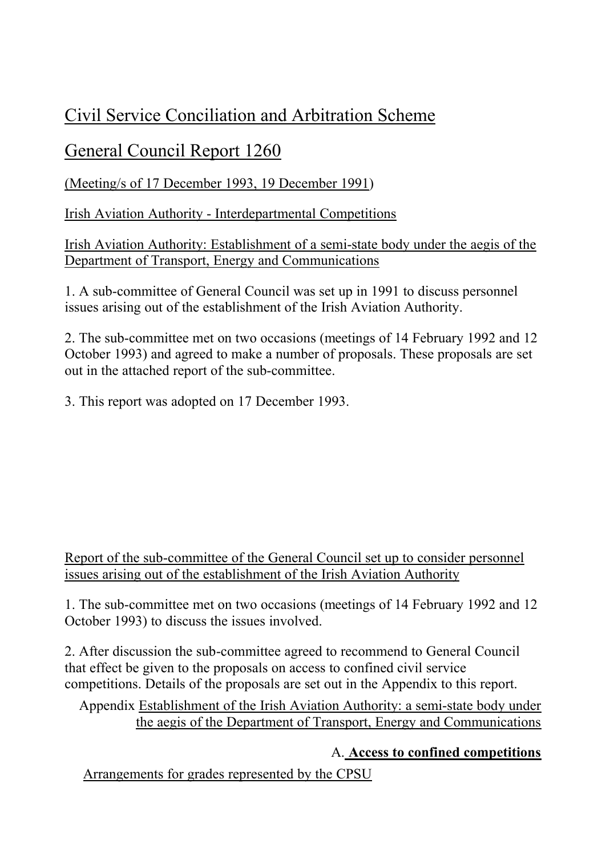# Civil Service Conciliation and Arbitration Scheme

## General Council Report 1260

(Meeting/s of 17 December 1993, 19 December 1991)

Irish Aviation Authority - Interdepartmental Competitions

Irish Aviation Authority: Establishment of a semi-state body under the aegis of the Department of Transport, Energy and Communications

1. A sub-committee of General Council was set up in 1991 to discuss personnel issues arising out of the establishment of the Irish Aviation Authority.

2. The sub-committee met on two occasions (meetings of 14 February 1992 and 12 October 1993) and agreed to make a number of proposals. These proposals are set out in the attached report of the sub-committee.

3. This report was adopted on 17 December 1993.

### Report of the sub-committee of the General Council set up to consider personnel issues arising out of the establishment of the Irish Aviation Authority

1. The sub-committee met on two occasions (meetings of 14 February 1992 and 12 October 1993) to discuss the issues involved.

2. After discussion the sub-committee agreed to recommend to General Council that effect be given to the proposals on access to confined civil service competitions. Details of the proposals are set out in the Appendix to this report.

Appendix Establishment of the Irish Aviation Authority: a semi-state body under the aegis of the Department of Transport, Energy and Communications

## A. **Access to confined competitions**

Arrangements for grades represented by the CPSU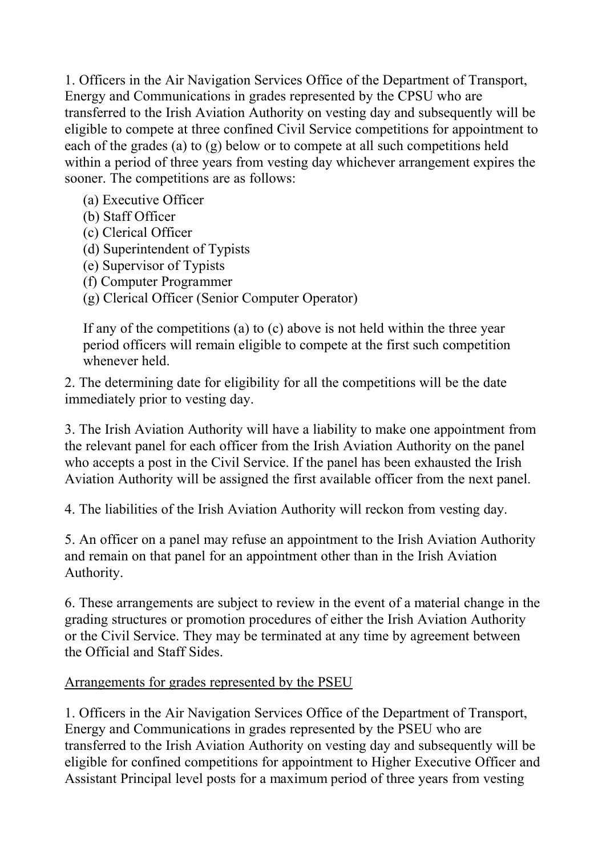1. Officers in the Air Navigation Services Office of the Department of Transport, Energy and Communications in grades represented by the CPSU who are transferred to the Irish Aviation Authority on vesting day and subsequently will be eligible to compete at three confined Civil Service competitions for appointment to each of the grades (a) to (g) below or to compete at all such competitions held within a period of three years from vesting day whichever arrangement expires the sooner. The competitions are as follows:

- (a) Executive Officer
- (b) Staff Officer
- (c) Clerical Officer
- (d) Superintendent of Typists
- (e) Supervisor of Typists
- (f) Computer Programmer
- (g) Clerical Officer (Senior Computer Operator)

If any of the competitions (a) to (c) above is not held within the three year period officers will remain eligible to compete at the first such competition whenever held.

2. The determining date for eligibility for all the competitions will be the date immediately prior to vesting day.

3. The Irish Aviation Authority will have a liability to make one appointment from the relevant panel for each officer from the Irish Aviation Authority on the panel who accepts a post in the Civil Service. If the panel has been exhausted the Irish Aviation Authority will be assigned the first available officer from the next panel.

4. The liabilities of the Irish Aviation Authority will reckon from vesting day.

5. An officer on a panel may refuse an appointment to the Irish Aviation Authority and remain on that panel for an appointment other than in the Irish Aviation Authority.

6. These arrangements are subject to review in the event of a material change in the grading structures or promotion procedures of either the Irish Aviation Authority or the Civil Service. They may be terminated at any time by agreement between the Official and Staff Sides.

#### Arrangements for grades represented by the PSEU

1. Officers in the Air Navigation Services Office of the Department of Transport, Energy and Communications in grades represented by the PSEU who are transferred to the Irish Aviation Authority on vesting day and subsequently will be eligible for confined competitions for appointment to Higher Executive Officer and Assistant Principal level posts for a maximum period of three years from vesting